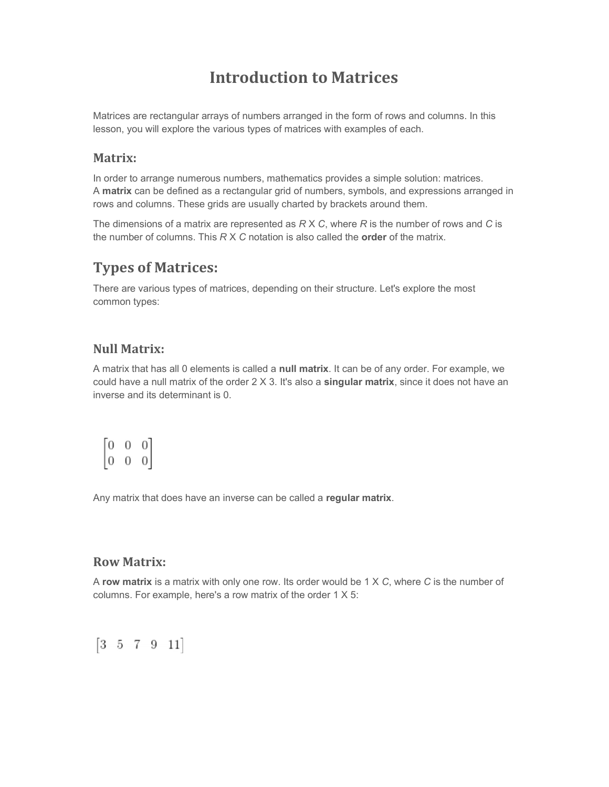# Introduction to Matrices

Matrices are rectangular arrays of numbers arranged in the form of rows and columns. In this lesson, you will explore the various types of matrices with examples of each.

#### Matrix:

In order to arrange numerous numbers, mathematics provides a simple solution: matrices. A matrix can be defined as a rectangular grid of numbers, symbols, and expressions arranged in rows and columns. These grids are usually charted by brackets around them.

The dimensions of a matrix are represented as  $RX C$ , where R is the number of rows and C is the number of columns. This  $R$  X  $C$  notation is also called the order of the matrix.

## Types of Matrices:

There are various types of matrices, depending on their structure. Let's explore the most common types:

## Null Matrix:

A matrix that has all 0 elements is called a null matrix. It can be of any order. For example, we could have a null matrix of the order  $2 \times 3$ . It's also a singular matrix, since it does not have an inverse and its determinant is 0.

|                                        | Ü |                                        |
|----------------------------------------|---|----------------------------------------|
| $\begin{bmatrix} 0 \\ 0 \end{bmatrix}$ | U | $\begin{bmatrix} 0 \\ 0 \end{bmatrix}$ |

Any matrix that does have an inverse can be called a regular matrix.

#### Row Matrix:

A row matrix is a matrix with only one row. Its order would be  $1 \times C$ , where C is the number of columns. For example, here's a row matrix of the order 1 X 5:

 $[3 \ 5 \ 7 \ 9 \ 11]$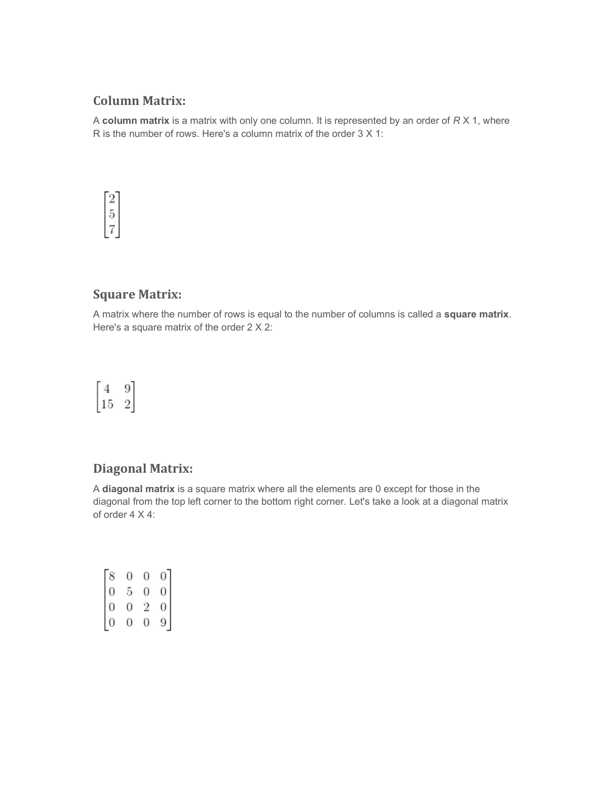### Column Matrix:

A column matrix is a matrix with only one column. It is represented by an order of  $R X 1$ , where R is the number of rows. Here's a column matrix of the order 3 X 1:



#### Square Matrix:

A matrix where the number of rows is equal to the number of columns is called a square matrix. Here's a square matrix of the order 2 X 2:



## Diagonal Matrix:

A diagonal matrix is a square matrix where all the elements are 0 except for those in the diagonal from the top left corner to the bottom right corner. Let's take a look at a diagonal matrix of order 4 X 4:

|                                                  | 0 | 0 |                                                       |
|--------------------------------------------------|---|---|-------------------------------------------------------|
|                                                  | 5 | 0 | $\begin{bmatrix} 0 \\ 0 \\ 0 \\ 0 \\ 9 \end{bmatrix}$ |
|                                                  | 0 | 2 |                                                       |
| $\begin{bmatrix} 8 \\ 0 \\ 0 \\ 0 \end{bmatrix}$ | 0 | 0 |                                                       |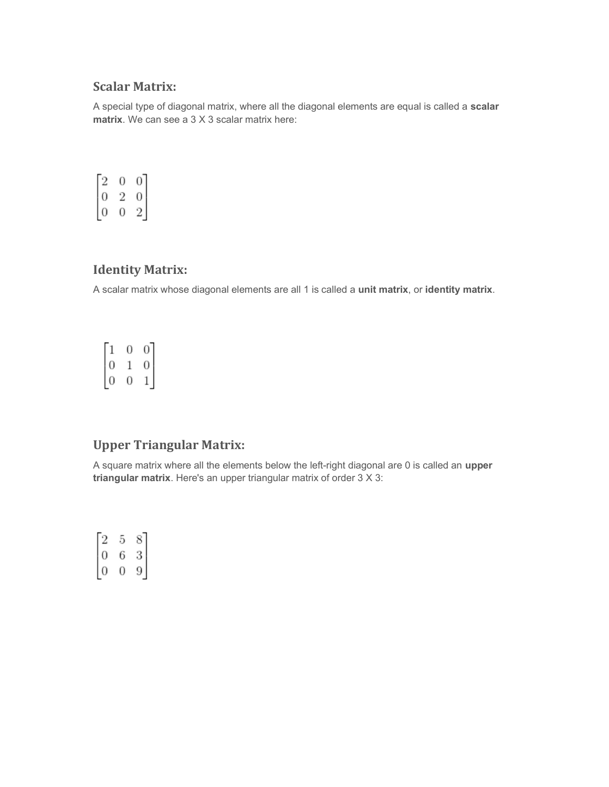## Scalar Matrix:

A special type of diagonal matrix, where all the diagonal elements are equal is called a scalar matrix. We can see a 3 X 3 scalar matrix here:

| $\overline{z}$           |                          |
|--------------------------|--------------------------|
| $\overline{\phantom{a}}$ |                          |
|                          | $\overline{\mathcal{E}}$ |

## Identity Matrix:

A scalar matrix whose diagonal elements are all 1 is called a unit matrix, or identity matrix.

 $\begin{bmatrix} 1 & 0 & 0 \\ 0 & 1 & 0 \\ 0 & 0 & 1 \\ \end{bmatrix}$ 

## Upper Triangular Matrix:

A square matrix where all the elements below the left-right diagonal are 0 is called an upper triangular matrix. Here's an upper triangular matrix of order 3 X 3:

 $\begin{bmatrix} 2 & 5 & 8 \\ 0 & 6 & 3 \\ 0 & 0 & 9 \\ \end{bmatrix}$